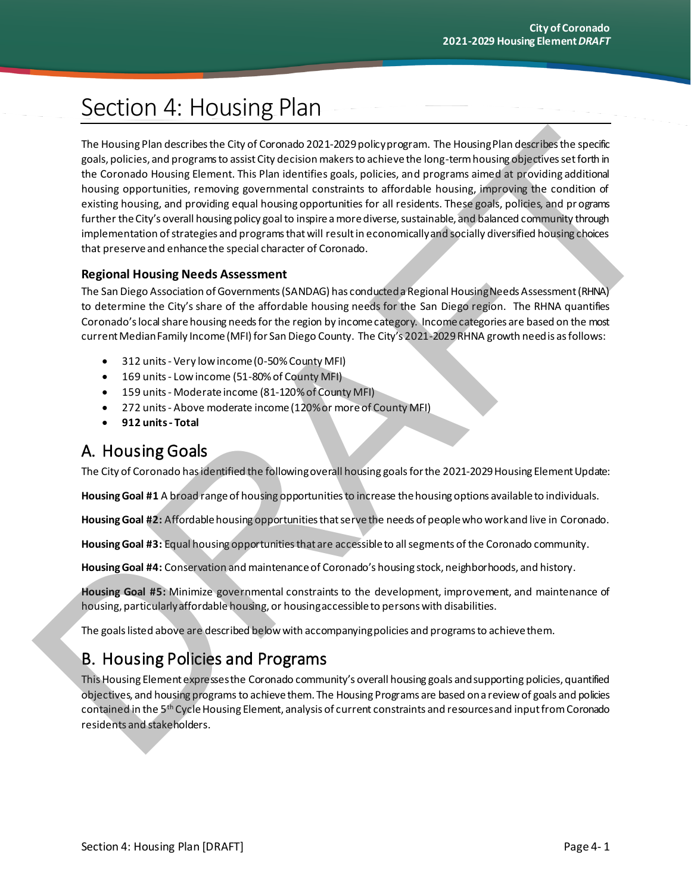# Section 4: Housing Plan

The Housing Plan describes the City of Coronado 2021-2029 policy program. The Housing Plan describes the specific goals, policies, and programs to assist City decision makers to achieve the long-term housing objectives set forth in the Coronado Housing Element. This Plan identifies goals, policies, and programs aimed at providing additional housing opportunities, removing governmental constraints to affordable housing, improving the condition of existing housing, and providing equal housing opportunities for all residents. These goals, policies, and pr ograms further the City's overall housing policy goal to inspire a more diverse, sustainable, and balanced community through implementation of strategies and programs that will result in economically and socially diversified housing choices that preserve and enhance the special character of Coronado. The Housing Plan describes the Gry of Coronata 2021-2029 pois ypragram. The Housing Plan desirates teperates positions and property and the method of the property of the property of the property of the property of the prop

#### **Regional Housing Needs Assessment**

The San Diego Association of Governments (SANDAG) has conducted a Regional Housing Needs Assessment (RHNA) to determine the City's share of the affordable housing needs for the San Diego region. The RHNA quantifies Coronado's local share housing needs for the region by income category. Income categories are based on the most current Median Family Income (MFI) for San Diego County. The City's 2021-2029 RHNA growth need is as follows:

- 312 units Very low income (0-50% County MFI)
- 169 units Low income (51-80% of County MFI)
- 159 units Moderate income (81-120% of County MFI)
- 272 units Above moderate income (120%or moreof County MFI)
- **912 units - Total**

# A. Housing Goals

The City of Coronado has identified the following overall housing goals for the 2021-2029 Housing Element Update:

**Housing Goal #1** A broad range of housing opportunities to increase the housing options available to individuals.

**Housing Goal #2:** Affordable housing opportunities that serve the needs of people who work and live in Coronado.

**Housing Goal #3:** Equal housing opportunitiesthat are accessible to all segments of the Coronado community.

**Housing Goal #4:** Conservation and maintenance of Coronado's housing stock, neighborhoods, and history.

**Housing Goal #5:** Minimize governmental constraints to the development, improvement, and maintenance of housing, particularly affordable housing, or housing accessible to persons with disabilities.

The goals listed above are described below with accompanying policies and programs to achieve them.

# B. Housing Policies and Programs

This Housing Element expresses the Coronado community's overall housing goals and supporting policies, quantified objectives, and housing programs to achieve them. The Housing Programs are based ona review of goals and policies contained in the 5th Cycle Housing Element, analysis of current constraints and resources and input fromCoronado residents and stakeholders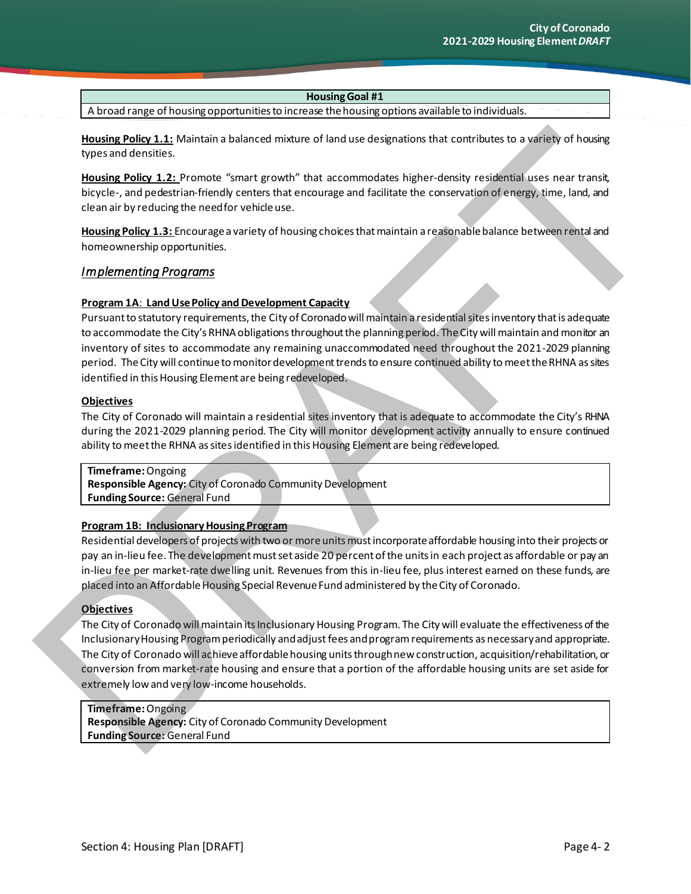A broad range of housing opportunities to increase the housing options available to individuals.

**Housing Policy 1.1:** Maintain a balanced mixture of land use designations that contributes to a variety of housing types and densities.

**Housing Policy 1.2:** Promote "smart growth" that accommodates higher-density residential uses near transit, bicycle-, and pedestrian-friendly centers that encourage and facilitate the conservation of energy, time, land, and clean air by reducing the need for vehicle use.

**Housing Policy 1.3:** Encourage a variety of housing choices that maintain a reasonable balance between rental and homeownership opportunities.

#### *Implementing Programs*

#### **Program 1A**: **Land Use Policy and Development Capacity**

Pursuant to statutory requirements, the City of Coronadowill maintain a residential sites inventory that is adequate to accommodate the City's RHNA obligations throughout the planning period. The City will maintain and monitor an inventory of sites to accommodate any remaining unaccommodated need throughout the 2021-2029 planning period. The City will continue to monitor development trends to ensure continued ability to meet the RHNA as sites identified in this Housing Element are being redeveloped.

#### **Objectives**

The City of Coronado will maintain a residential sites inventory that is adequate to accommodate the City's RHNA during the 2021-2029 planning period. The City will monitor development activity annually to ensure continued ability to meet the RHNA as sites identified in this Housing Element are being redeveloped.

**Timeframe:** Ongoing **Responsible Agency:** City of Coronado Community Development **Funding Source:** General Fund

#### **Program 1B: Inclusionary Housing Program**

Residential developers of projects with two or more units must incorporate affordable housing into their projects or pay an in-lieu fee. The development must set aside 20 percent of the units in each project as affordable or pay an in-lieu fee per market-rate dwelling unit. Revenues from this in-lieu fee, plus interest earned on these funds, are placed into an Affordable Housing Special Revenue Fund administered by the City of Coronado.

#### **Objectives**

The City of Coronado will maintain its Inclusionary Housing Program. The City will evaluate the effectiveness of the Inclusionary Housing Program periodically and adjust fees and programrequirements as necessary and appropriate. The City of Coronado will achieve affordable housing units through new construction, acquisition/rehabilitation, or conversion from market-rate housing and ensure that a portion of the affordable housing units are set aside for extremely low and very low-income households. Housian Editor. L1, Maintain a balanced moture of land use described to that contributes to a verify of housing<br>tops and denote the control of the control of the control of the control of the control of the control of the

# **Timeframe:** Ongoing

**Responsible Agency:** City of Coronado Community Development **Funding Source:**  General Fund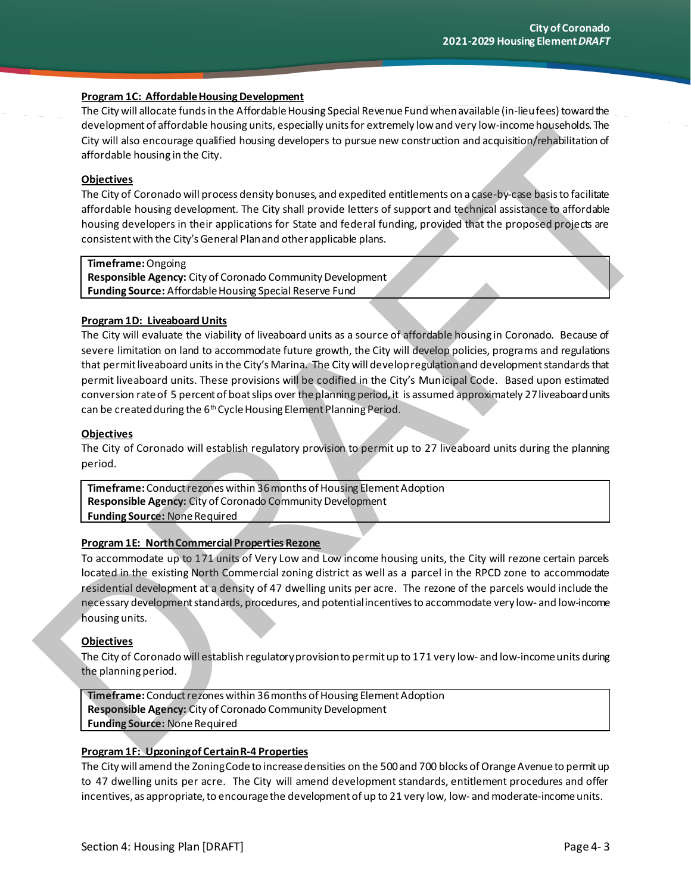#### **Program 1C: Affordable Housing Development**

The City will allocate funds in the Affordable Housing Special Revenue Fund when available (in-lieu fees) toward the development of affordable housing units, especially units for extremely low and very low-income households. The City will also encourage qualified housing developers to pursue new construction and acquisition/rehabilitation of affordable housing in the City.

#### **Objectives**

The City of Coronado will process density bonuses, and expedited entitlements on a case-by-case basis to facilitate affordable housing development. The City shall provide letters of support and technical assistance to affordable housing developers in their applications for State and federal funding, provided that the proposed projects are consistent with the City's General Plan and other applicable plans.

#### **Timeframe:** Ongoing

**Responsible Agency:** City of Coronado Community Development **Funding Source:** Affordable Housing Special Reserve Fund

#### **Program 1D: Liveaboard Units**

The City will evaluate the viability of liveaboard units as a source of affordable housing in Coronado. Because of severe limitation on land to accommodate future growth, the City will develop policies, programs and regulations that permit liveaboard units in the City's Marina. The City will develop regulation and development standards that permit liveaboard units. These provisions will be codified in the City's Municipal Code. Based upon estimated conversion rate of 5 percent of boat slips over the planning period, it is assumed approximately 27 liveaboard units can be created during the 6<sup>th</sup> Cycle Housing Element Planning Period. the spin and the detection of the spin and the spin and the spin and the spin and the spin and the spin and the spin and the spin and the spin and the spin and the spin and the spin and the spin and the spin and the spin a

#### **Objectives**

The City of Coronado will establish regulatory provision to permit up to 27 liveaboard units during the planning period.

**Timeframe:** Conduct rezones within 36 months of Housing Element Adoption **Responsible Agency:** City of Coronado Community Development **Funding Source:** None Required

#### **Program 1E: North Commercial Properties Rezone**

To accommodate up to 171 units of Very Low and Low income housing units, the City will rezone certain parcels located in the existing North Commercial zoning district as well as a parcel in the RPCD zone to accommodate residential development at a density of 47 dwelling units per acre. The rezone of the parcels would include the necessary development standards, procedures, and potential incentives to accommodate very low- and low-income housing units.

#### **Objectives**

The City of Coronado will establish regulatory provision to permit up to 171 very low- and low-income units during the planning period.

**Timeframe:** Conduct rezones within 36 months of Housing Element Adoption **Responsible Agency:** City of Coronado Community Development **Funding Source:** None Required

#### **Program 1F: Upzoning of Certain R-4 Properties**

The City will amend the Zoning Code to increase densities on the 500 and 700 blocks of Orange Avenue to permit up to 47 dwelling units per acre. The City will amend development standards, entitlement procedures and offer incentives, as appropriate, to encourage the development of up to 21 very low, low- and moderate-incomeunits.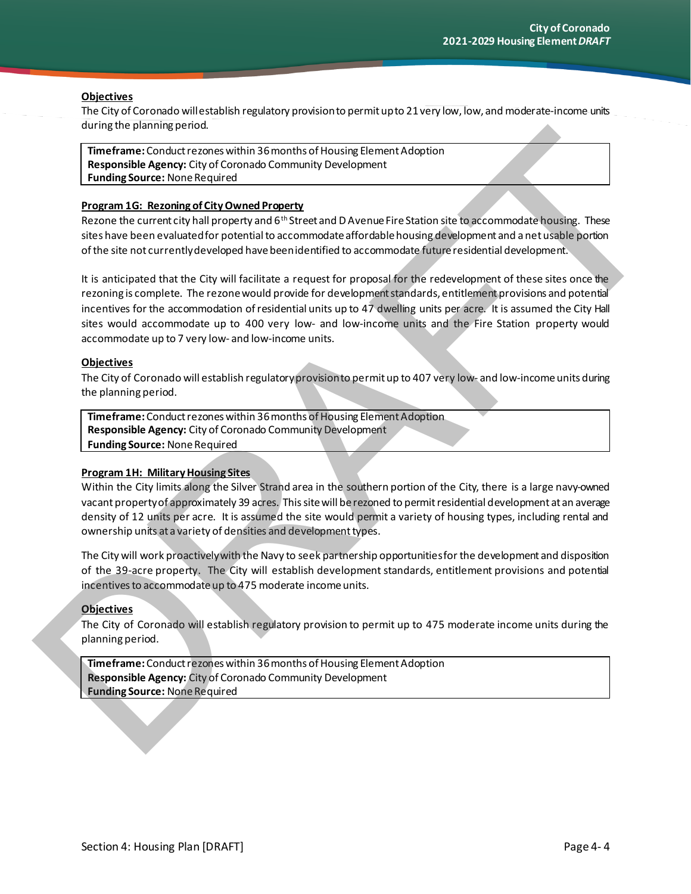#### **Objectives**

The City of Coronado will establish regulatory provision to permit up to 21 very low, low, and moderate-income units during the planning period.

**Timeframe:** Conduct rezones within 36 months of Housing Element Adoption **Responsible Agency:** City of Coronado Community Development **Funding Source:** None Required

#### **Program 1G: Rezoning of City Owned Property**

Rezone the current city hall property and 6<sup>th</sup> Street and D Avenue Fire Station site to accommodate housing. These sites have been evaluated for potential to accommodate affordable housing development and a net usable portion of the site not currently developed have been identified to accommodate future residential development.

It is anticipated that the City will facilitate a request for proposal for the redevelopment of these sites once the rezoning is complete. The rezone would provide for development standards, entitlement provisions and potential incentives for the accommodation of residential units up to 47 dwelling units per acre. It is assumed the City Hall sites would accommodate up to 400 very low- and low-income units and the Fire Station property would accommodate up to 7 very low- and low-income units. unity the planning period.<br>
Time trains Conclusion Consults of the animality Development.<br>
Time trains Conclusion Consults of Consults of Consults of the state of the consults of the consults of the consults of the consult

#### **Objectives**

The City of Coronado will establish regulatory provision to permit up to 407 very low- and low-income units during the planning period.

**Timeframe:** Conduct rezones within 36 months of Housing Element Adoption **Responsible Agency:** City of Coronado Community Development **Funding Source:** None Required

#### **Program 1H: Military Housing Sites**

Within the City limits along the Silver Strand area in the southern portion of the City, there is a large navy-owned vacant property of approximately 39 acres. This site will be rezoned to permit residential development at an average density of 12 units per acre. It is assumed the site would permit a variety of housing types, including rental and ownership units at a variety of densities and development types.

The City will work proactively with the Navy to seek partnership opportunities for the development and disposition of the 39-acre property. The City will establish development standards, entitlement provisions and potential incentives to accommodate up to 475 moderate income units.

#### **Objectives**

The City of Coronado will establish regulatory provision to permit up to 475 moderate income units during the planning period.

**Timeframe:** Conduct rezones within 36 months of Housing Element Adoption **Responsible Agency:** City of Coronado Community Development **Funding Source:**  None Required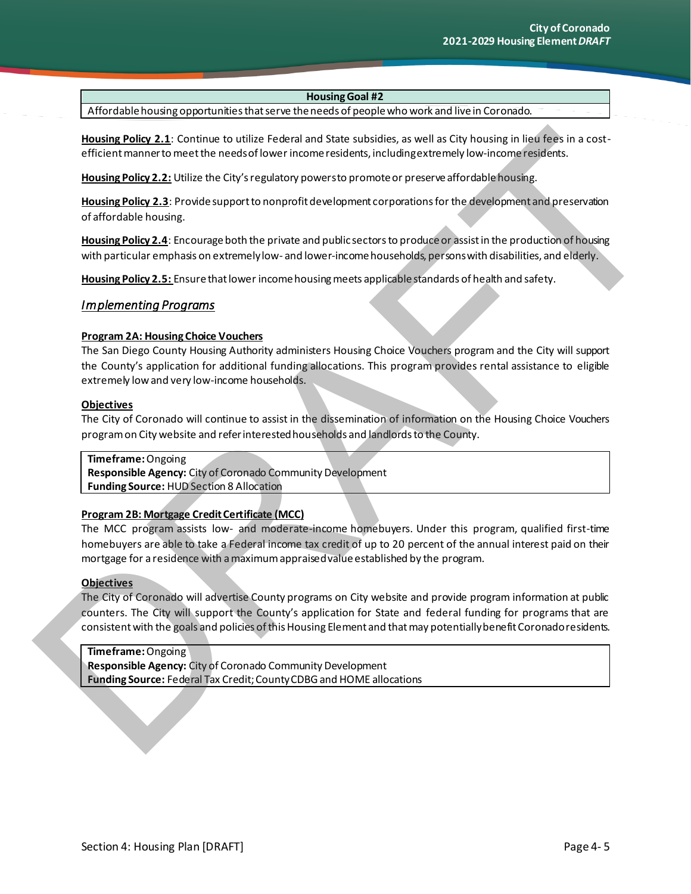Affordable housing opportunities that serve the needs of people who work and live in Coronado.

**Housing Policy 2.1**: Continue to utilize Federal and State subsidies, as well as City housing in lieu fees in a costefficient manner to meet the needs of lower income residents, including extremely low-income residents.

**Housing Policy 2.2:** Utilize the City's regulatory powers to promote or preserve affordable housing.

**Housing Policy 2.3**: Provide support to nonprofit development corporations for the development and preservation of affordable housing.

**Housing Policy 2.4**: Encourage both the private and public sectors to produce or assist in the production of housing with particular emphasis on extremely low- and lower-income households, persons with disabilities, and elderly.

**Housing Policy 2.5:** Ensure that lower income housing meets applicable standards of health and safety.

#### *Implementing Programs*

#### **Program 2A: Housing Choice Vouchers**

The San Diego County Housing Authority administers Housing Choice Vouchers program and the City will support the County's application for additional funding allocations. This program provides rental assistance to eligible extremely low and very low-income households. Housing Palisy 2.1: Combine to utiliter Federal and State subsidies, as well as City housing in lead term<br>eligible momentum entities erected those rising recorders, including the terms in a cost-<br>eligible momentum in each

#### **Objectives**

The City of Coronado will continue to assist in the dissemination of information on the Housing Choice Vouchers program on City website and refer interested households and landlords to the County.

#### **Timeframe:** Ongoing

**Responsible Agency:** City of Coronado Community Development **Funding Source:** HUD Section 8 Allocation

#### **Program 2B: Mortgage Credit Certificate (MCC)**

The MCC program assists low- and moderate-income homebuyers. Under this program, qualified first-time homebuyers are able to take a Federal income tax credit of up to 20 percent of the annual interest paid on their mortgage for a residence with a maximum appraised value established by the program.

#### **Objectives**

The City of Coronado will advertise County programs on City website and provide program information at public counters. The City will support the County's application for State and federal funding for programs that are consistent with the goals and policies of this Housing Element and that may potentially benefit Coronado residents.

#### **Timeframe:** Ongoing **Responsible Agency:** City of Coronado Community Development **Funding Source:** Federal Tax Credit; County CDBG and HOME allocations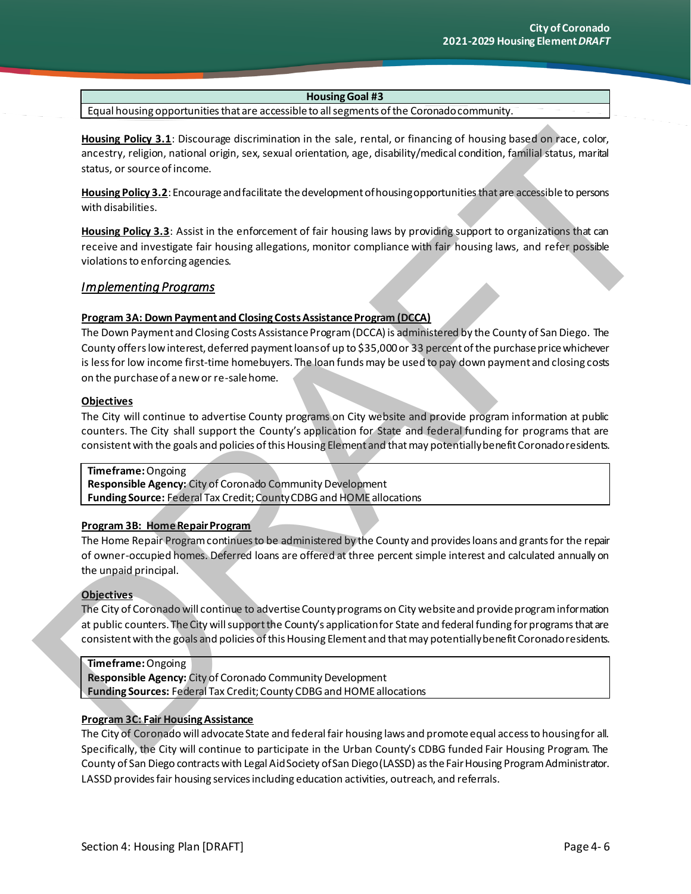Equal housing opportunities that are accessible to all segments of the Coronado community.

**Housing Policy 3.1**: Discourage discrimination in the sale, rental, or financing of housing based on race, color, ancestry, religion, national origin, sex, sexual orientation, age, disability/medical condition, familial status, marital status, or source of income.

**Housing Policy 3.2**: Encourage and facilitate the development of housing opportunities that are accessible to persons with disabilities.

**Housing Policy 3.3**: Assist in the enforcement of fair housing laws by providing support to organizations that can receive and investigate fair housing allegations, monitor compliance with fair housing laws, and refer possible violations to enforcing agencies.

#### *Implementing Programs*

#### **Program 3A: Down Payment and Closing Costs Assistance Program (DCCA)**

The Down Payment and Closing Costs Assistance Program (DCCA) is administered by the County of San Diego. The County offers low interest, deferred payment loans of up to \$35,000 or 33 percent of the purchase price whichever is less for low income first-time homebuyers. The loan funds may be used to pay down payment and closing costs on the purchase of a new or re-sale home. Housina Education at Detail and the specifical states are the selected in the scheme of the state of the specifical states are colored in the specifical states and the specifical states are colored in the specifical states

#### **Objectives**

The City will continue to advertise County programs on City website and provide program information at public counters. The City shall support the County's application for State and federal funding for programs that are consistent with the goals and policies of this Housing Element and that may potentially benefit Coronado residents.

**Timeframe:** Ongoing **Responsible Agency:** City of Coronado Community Development **Funding Source:** Federal Tax Credit; County CDBG and HOME allocations

#### **Program 3B: Home Repair Program**

The Home Repair Program continues to be administered by the County and provides loans and grants for the repair of owner-occupied homes. Deferred loans are offered at three percent simple interest and calculated annually on the unpaid principal.

#### **Objectives**

The City of Coronado will continue to advertise County programs on City website and provide program information at public counters. The City will support the County's application for State and federal funding for programs that are consistent with the goals and policies of this Housing Element and that may potentially benefit Coronado residents.

#### **Timeframe:** Ongoing

**Responsible Agency:** City of Coronado Community Development **Funding Sources:** Federal Tax Credit; County CDBG and HOME allocations

#### **Program 3C: Fair Housing Assistance**

The City of Coronado will advocate State and federal fair housing laws and promote equal access to housing for all. Specifically, the City will continue to participate in the Urban County's CDBG funded Fair Housing Program. The County of San Diego contracts with Legal Aid Society of San Diego (LASSD) as the Fair Housing Program Administrator. LASSD provide sfair housing services including education activities, outreach, and referrals.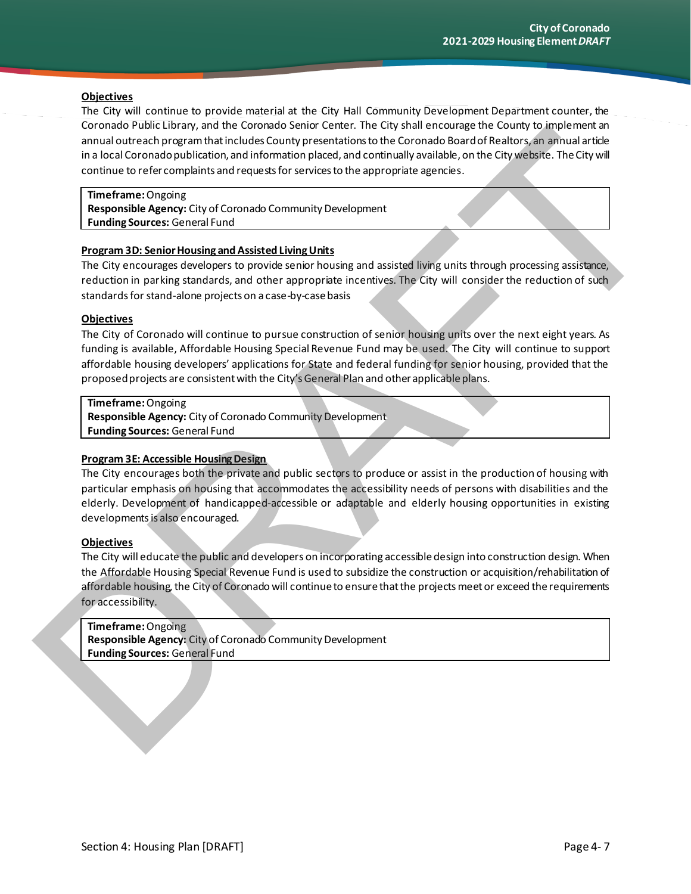#### **Objectives**

The City will continue to provide material at the City Hall Community Development Department counter, the Coronado Public Library, and the Coronado Senior Center. The City shall encourage the County to implement an annual outreach program that includes County presentations to the Coronado Board of Realtors, an annual article in a local Coronado publication, and information placed, and continually available, on the City website. The City will continue to refer complaints and requests for services to the appropriate agencies.

**Timeframe:**Ongoing **Responsible Agency:** City of Coronado Community Development **Funding Sources:** General Fund

#### **Program 3D: Senior Housing and Assisted Living Units**

The City encourages developers to provide senior housing and assisted living units through processing assistance, reduction in parking standards, and other appropriate incentives. The City will consider the reduction of such standards for stand-alone projects on a case-by-case basis

#### **Objectives**

The City of Coronado will continue to pursue construction of senior housing units over the next eight years. As funding is available, Affordable Housing Special Revenue Fund may be used. The City will continue to support affordable housing developers' applications for State and federal funding for senior housing, provided that the proposed projects are consistent with the City's General Plan and other applicable plans. contracts comes the material contracts send to the contracts of the contracts of the control of the control of the control of the control of the control of the control of the control of the control of the control of the co

#### **Timeframe:**Ongoing

**Responsible Agency:** City of Coronado Community Development **Funding Sources:** General Fund

#### **Program 3E: Accessible Housing Design**

The City encourages both the private and public sectors to produce or assist in the production of housing with particular emphasis on housing that accommodates the accessibility needs of persons with disabilities and the elderly. Development of handicapped-accessible or adaptable and elderly housing opportunities in existing developments is also encouraged.

#### **Objectives**

The City will educate the public and developers on incorporating accessible design into construction design. When the Affordable Housing Special Revenue Fund is used to subsidize the construction or acquisition/rehabilitation of affordable housing, the City of Coronado will continue to ensure that the projects meet or exceed the requirements for accessibility.

#### **Timeframe:** Ongoing

**Responsible Agency:** City of Coronado Community Development **Funding Sources:** General Fund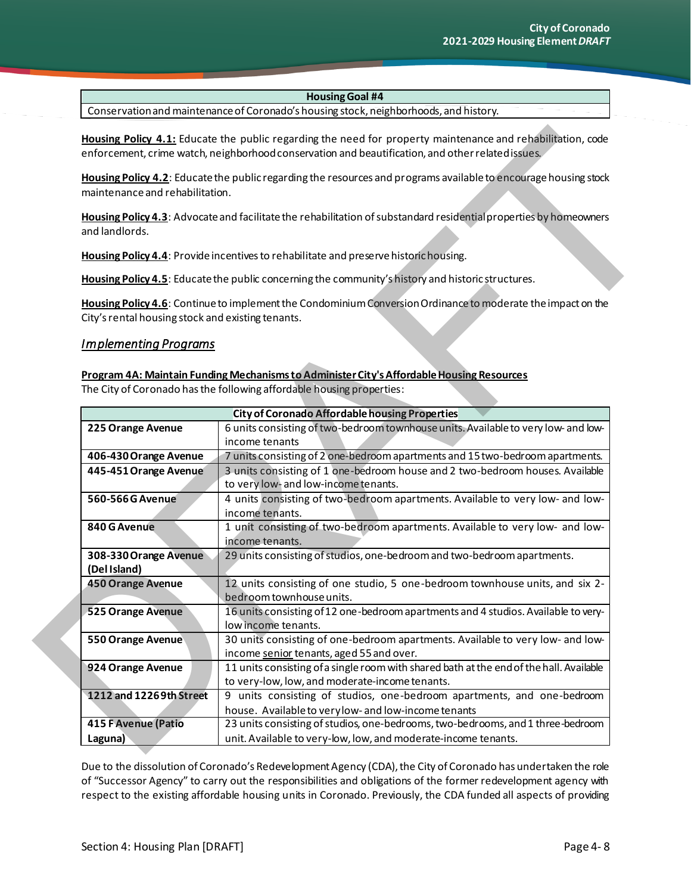Conservation and maintenance of Coronado's housing stock, neighborhoods, and history.

#### *Implementing Programs*

|                                                   | Housing Policy 4.1: Educate the public regarding the need for property maintenance and rehabilitation, code<br>enforcement, crime watch, neighborhood conservation and beautification, and other related issues.            |  |
|---------------------------------------------------|-----------------------------------------------------------------------------------------------------------------------------------------------------------------------------------------------------------------------------|--|
| maintenance and rehabilitation.                   | Housing Policy 4.2: Educate the public regarding the resources and programs available to encourage housing stock                                                                                                            |  |
| and landlords.                                    | Housing Policy 4.3: Advocate and facilitate the rehabilitation of substandard residential properties by homeowners                                                                                                          |  |
|                                                   | Housing Policy 4.4: Provide incentives to rehabilitate and preserve historic housing.                                                                                                                                       |  |
|                                                   | Housing Policy 4.5: Educate the public concerning the community's history and historic structures.                                                                                                                          |  |
| City's rental housing stock and existing tenants. | Housing Policy 4.6: Continue to implement the Condominium Conversion Ordinance to moderate the impact on the                                                                                                                |  |
| <b>Implementing Programs</b>                      |                                                                                                                                                                                                                             |  |
|                                                   | Program 4A: Maintain Funding Mechanisms to Administer City's Affordable Housing Resources<br>The City of Coronado has the following affordable housing properties:<br><b>City of Coronado Affordable housing Properties</b> |  |
|                                                   |                                                                                                                                                                                                                             |  |
| 225 Orange Avenue                                 | 6 units consisting of two-bedroom townhouse units. Available to very low- and low-<br>income tenants                                                                                                                        |  |
| 406-430 Orange Avenue                             | 7 units consisting of 2 one-bedroom apartments and 15 two-bedroom apartments.                                                                                                                                               |  |
| 445-451 Orange Avenue                             | 3 units consisting of 1 one-bedroom house and 2 two-bedroom houses. Available<br>to very low- and low-income tenants.                                                                                                       |  |
| 560-566G Avenue                                   | 4 units consisting of two-bedroom apartments. Available to very low- and low-<br>income tenants.                                                                                                                            |  |
| 840 G Avenue                                      | 1 unit consisting of two-bedroom apartments. Available to very low- and low-<br>income tenants.                                                                                                                             |  |
| 308-330 Orange Avenue<br>(Del Island)             | 29 units consisting of studios, one-bedroom and two-bedroom apartments.                                                                                                                                                     |  |
| <b>450 Orange Avenue</b>                          |                                                                                                                                                                                                                             |  |
|                                                   | 12 units consisting of one studio, 5 one-bedroom townhouse units, and six 2-<br>bedroom townhouse units.                                                                                                                    |  |
| 525 Orange Avenue                                 | 16 units consisting of 12 one-bedroom apartments and 4 studios. Available to very-<br>low income tenants.                                                                                                                   |  |
| 550 Orange Avenue                                 | 30 units consisting of one-bedroom apartments. Available to very low- and low-<br>income senior tenants, aged 55 and over.                                                                                                  |  |
| 924 Orange Avenue                                 | 11 units consisting of a single room with shared bath at the end of the hall. Available<br>to very-low, low, and moderate-income tenants.                                                                                   |  |
| 1212 and 1226 9th Street                          | 9 units consisting of studios, one-bedroom apartments, and one-bedroom                                                                                                                                                      |  |
|                                                   | house. Available to very low- and low-income tenants                                                                                                                                                                        |  |
| <b>415 F Avenue (Patio</b>                        | 23 units consisting of studios, one-bedrooms, two-bedrooms, and 1 three-bedroom                                                                                                                                             |  |

Due to the dissolution of Coronado's Redevelopment Agency (CDA), the City of Coronado has undertaken the role of "Successor Agency" to carry out the responsibilities and obligations of the former redevelopment agency with respect to the existing affordable housing units in Coronado. Previously, the CDA funded all aspects of providing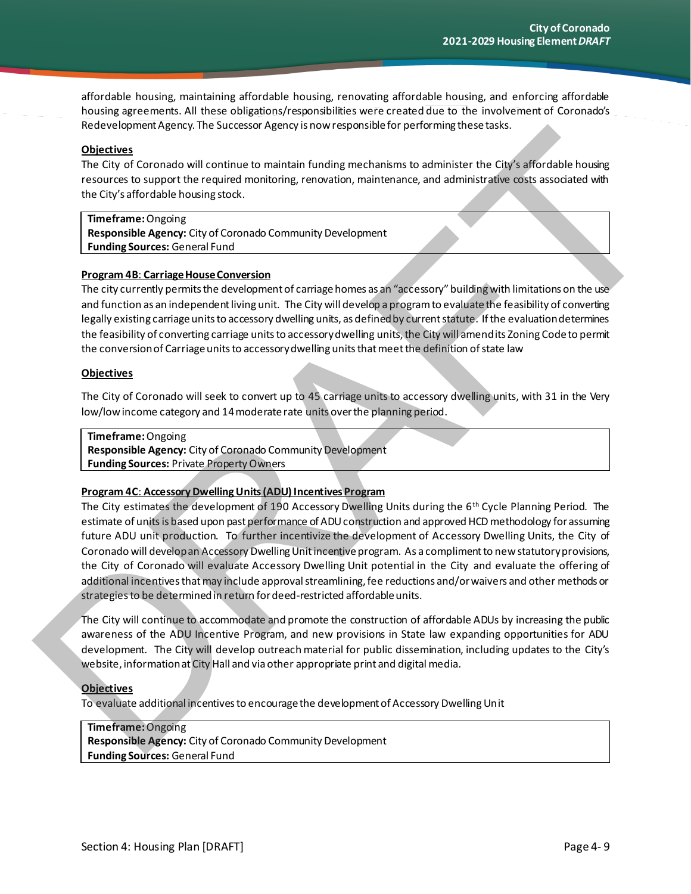affordable housing, maintaining affordable housing, renovating affordable housing, and enforcing affordable housing agreements. All these obligations/responsibilities were created due to the involvement of Coronado's Redevelopment Agency. The Successor Agency is now responsible for performing these tasks.

#### **Objectives**

The City of Coronado will continue to maintain funding mechanisms to administer the City's affordable housing resources to support the required monitoring, renovation, maintenance, and administrative costs associated with the City's affordable housing stock.

#### **Timeframe:** Ongoing

**Responsible Agency:** City of Coronado Community Development **Funding Sources:** General Fund

#### **Program 4B**: **Carriage House Conversion**

The city currently permits the development of carriage homes as an "accessory" building with limitations on the use and function as an independent living unit. The City will develop a program to evaluate the feasibility of converting legally existing carriage units to accessory dwelling units, as defined by current statute. If the evaluation determines the feasibility of converting carriage units to accessory dwelling units, the City will amend its Zoning Code to permit the conversion of Carriage units to accessory dwelling units that meet the definition of state law

#### **Objectives**

The City of Coronado will seek to convert up to 45 carriage units to accessory dwelling units, with 31 in the Very low/low income category and 14 moderate rate units overthe planning period.

#### **Timeframe:** Ongoing

**Responsible Agency:** City of Coronado Community Development **Funding Sources:** Private Property Owners

#### **Program 4C**: **Accessory Dwelling Units (ADU) Incentives Program**

The City estimates the development of 190 Accessory Dwelling Units during the 6th Cycle Planning Period. The estimate of units is based upon past performance of ADU construction and approved HCD methodology for assuming future ADU unit production. To further incentivize the development of Accessory Dwelling Units, the City of Coronado will develop an Accessory Dwelling Unit incentive program. As a compliment to new statutory provisions, the City of Coronado will evaluate Accessory Dwelling Unit potential in the City and evaluate the offering of additional incentives that may include approval streamlining, fee reductions and/or waivers and other methods or strategies to be determinedin return for deed-restricted affordable units. interimental and Control of the Successor Aperty Show Paper and the main spin and the Cly of Control of the Cly of Control of the Cly of Control of the Cly of Control of the Cly of Control of the Cly of Control of the Cly

The City will continue to accommodate and promote the construction of affordable ADUs by increasing the public awareness of the ADU Incentive Program, and new provisions in State law expanding opportunities for ADU development. The City will develop outreach material for public dissemination, including updates to the City's website, information at City Hall and via other appropriate print and digital media.

#### **Objectives**

To evaluate additional incentives to encourage the development of Accessory Dwelling Unit

#### **Timeframe:** Ongoing

**Responsible Agency:** City of Coronado Community Development **Funding Sources:** General Fund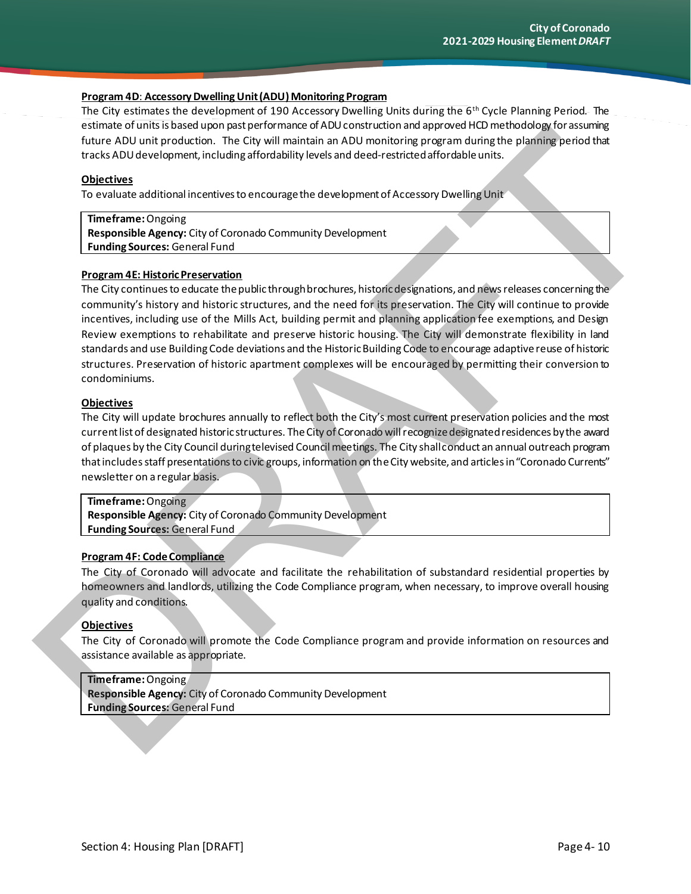#### **Program 4D**: **Accessory Dwelling Unit (ADU) Monitoring Program**

The City estimates the development of 190 Accessory Dwelling Units during the 6th Cycle Planning Period. The estimate of units is based upon past performance of ADU construction and approved HCD methodology for assuming future ADU unit production. The City will maintain an ADU monitoring program during the planning period that tracks ADU development, including affordability levels and deed-restricted affordable units.

#### **Objectives**

To evaluate additional incentives to encourage the development of Accessory Dwelling Unit

#### **Timeframe:** Ongoing

**Responsible Agency:** City of Coronado Community Development **Funding Sources:** General Fund

#### **Program 4E: Historic Preservation**

The City continues to educate the public through brochures, historic designations, and news releases concerning the community's history and historic structures, and the need for its preservation. The City will continue to provide incentives, including use of the Mills Act, building permit and planning application fee exemptions, and Design Review exemptions to rehabilitate and preserve historic housing. The City will demonstrate flexibility in land standards and use Building Code deviations and the Historic Building Code to encourage adaptive reuse of historic structures. Preservation of historic apartment complexes will be encouraged by permitting their conversion to condominiums. Entrine at Units these top principal per interest on the charge of the relationship of the charge of the charge of the charge of the charge of the charge of the charge of the charge of the charge of the charge of the charg

#### **Objectives**

The City will update brochures annually to reflect both the City's most current preservation policies and the most current list of designated historic structures. The City of Coronado will recognize designated residences by the award of plaques by the City Council during televised Council meetings. The City shall conduct an annual outreach program that includes staff presentations to civic groups, information on the City website, and articles in "Coronado Currents" newsletter on a regular basis.

#### **Timeframe:** Ongoing

**Responsible Agency:** City of Coronado Community Development **Funding Sources:** General Fund

#### **Program 4F: Code Compliance**

The City of Coronado will advocate and facilitate the rehabilitation of substandard residential properties by homeowners and landlords, utilizing the Code Compliance program, when necessary, to improve overall housing quality and conditions.

#### **Objectives**

The City of Coronado will promote the Code Compliance program and provide information on resources and assistance available as appropriate.

#### **Timeframe:** Ongoing

**Responsible Agency:** City of Coronado Community Development **Funding Sources:** General Fund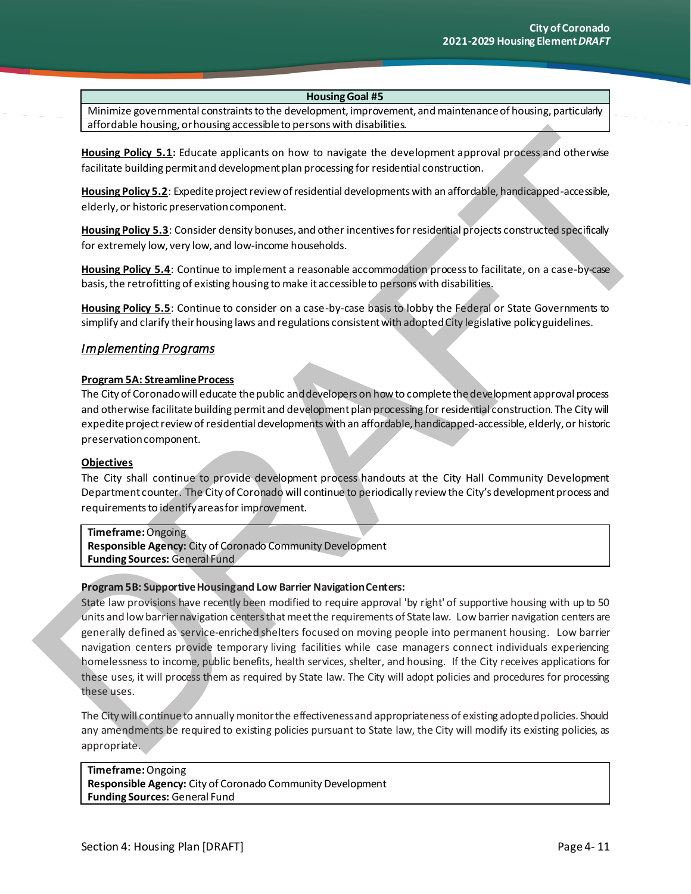Minimize governmental constraints to the development, improvement, and maintenance of housing, particularly affordable housing, or housing accessible to persons with disabilities.

**Housing Policy 5.1:** Educate applicants on how to navigate the development approval process and otherwise facilitate building permit and development plan processing for residential construction.

**Housing Policy 5.2**: Expedite project review of residential developments with an affordable, handicapped-accessible, elderly, or historic preservation component.

**Housing Policy 5.3**: Consider density bonuses, and other incentives for residential projects constructed specifically for extremely low, very low, and low-income households.

**Housing Policy 5.4**: Continue to implement a reasonable accommodation process to facilitate, on a case-by-case basis, the retrofitting of existing housing to make it accessible to persons with disabilities.

**Housing Policy 5.5**: Continue to consider on a case-by-case basis to lobby the Federal or State Governments to simplify and clarify their housing laws and regulations consistent with adopted City legislative policy guidelines.

#### *Implementing Programs*

#### **Program 5A: Streamline Process**

The City of Coronado will educate the public and developers on how to complete the development approval process and otherwise facilitate building permit and development plan processing for residential construction. The City will expedite project review of residential developments with an affordable, handicapped-accessible, elderly, or historic preservation component.

#### **Objectives**

The City shall continue to provide development process handouts at the City Hall Community Development Department counter. The City of Coronado will continue to periodically review the City's development process and requirements to identify areas for improvement.

**Timeframe:** Ongoing **Responsible Agency:** City of Coronado Community Development **Funding Sources:** General Fund

#### **Program 5B: Supportive Housing and Low Barrier Navigation Centers:**

State law provisions have recently been modified to require approval 'by right' of supportive housing with up to 50 units and low barrier navigation centers that meet the requirements of State law. Low barrier navigation centers are generally defined as service-enriched shelters focused on moving people into permanent housing. Low barrier navigation centers provide temporary living facilities while case managers connect individuals experiencing homelessness to income, public benefits, health services, shelter, and housing. If the City receives applications for these uses, it will process them as required by State law. The City will adopt policies and procedures for processing these uses. Latter to collect the state of the collection of the collection of the state of the state and the collection of the state of the state of the state of the state of the state of the state of the state of the state of the st

The City will continue to annually monitor the effectiveness and appropriateness of existing adopted policies. Should any amendments be required to existing policies pursuant to State law, the City will modify its existing policies, as appropriate.

**Timeframe:** Ongoing **Responsible Agency:** City of Coronado Community Development **Funding Sources:** General Fund